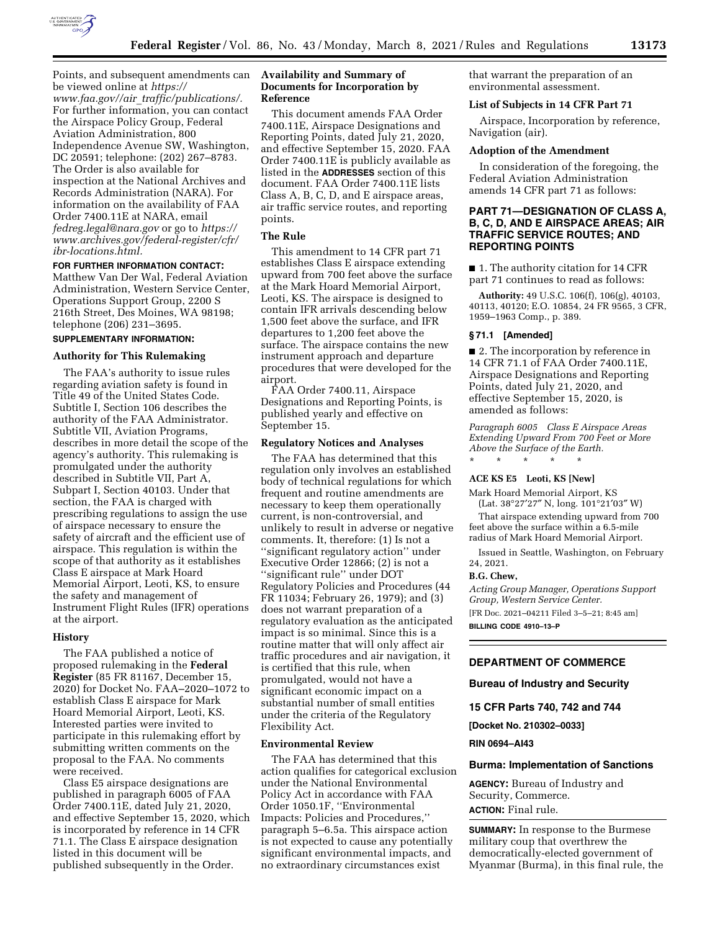

Points, and subsequent amendments can be viewed online at *[https://](https://www.faa.gov//air_traffic/publications/) www.faa.gov//air*\_*[traffic/publications/.](https://www.faa.gov//air_traffic/publications/)*  For further information, you can contact the Airspace Policy Group, Federal Aviation Administration, 800 Independence Avenue SW, Washington, DC 20591; telephone: (202) 267–8783. The Order is also available for inspection at the National Archives and Records Administration (NARA). For information on the availability of FAA Order 7400.11E at NARA, email *[fedreg.legal@nara.gov](mailto:fedreg.legal@nara.gov)* or go to *[https://](https://www.archives.gov/federal-register/cfr/ibr-locations.html) [www.archives.gov/federal-register/cfr/](https://www.archives.gov/federal-register/cfr/ibr-locations.html)  [ibr-locations.html.](https://www.archives.gov/federal-register/cfr/ibr-locations.html)* 

#### **FOR FURTHER INFORMATION CONTACT:**

Matthew Van Der Wal, Federal Aviation Administration, Western Service Center, Operations Support Group, 2200 S 216th Street, Des Moines, WA 98198; telephone (206) 231–3695.

# **SUPPLEMENTARY INFORMATION:**

## **Authority for This Rulemaking**

The FAA's authority to issue rules regarding aviation safety is found in Title 49 of the United States Code. Subtitle I, Section 106 describes the authority of the FAA Administrator. Subtitle VII, Aviation Programs, describes in more detail the scope of the agency's authority. This rulemaking is promulgated under the authority described in Subtitle VII, Part A, Subpart I, Section 40103. Under that section, the FAA is charged with prescribing regulations to assign the use of airspace necessary to ensure the safety of aircraft and the efficient use of airspace. This regulation is within the scope of that authority as it establishes Class E airspace at Mark Hoard Memorial Airport, Leoti, KS, to ensure the safety and management of Instrument Flight Rules (IFR) operations at the airport.

# **History**

The FAA published a notice of proposed rulemaking in the **Federal Register** (85 FR 81167, December 15, 2020) for Docket No. FAA–2020–1072 to establish Class E airspace for Mark Hoard Memorial Airport, Leoti, KS. Interested parties were invited to participate in this rulemaking effort by submitting written comments on the proposal to the FAA. No comments were received.

Class E5 airspace designations are published in paragraph 6005 of FAA Order 7400.11E, dated July 21, 2020, and effective September 15, 2020, which is incorporated by reference in 14 CFR 71.1. The Class E airspace designation listed in this document will be published subsequently in the Order.

# **Availability and Summary of Documents for Incorporation by Reference**

This document amends FAA Order 7400.11E, Airspace Designations and Reporting Points, dated July 21, 2020, and effective September 15, 2020. FAA Order 7400.11E is publicly available as listed in the **ADDRESSES** section of this document. FAA Order 7400.11E lists Class A, B, C, D, and E airspace areas, air traffic service routes, and reporting points.

## **The Rule**

This amendment to 14 CFR part 71 establishes Class E airspace extending upward from 700 feet above the surface at the Mark Hoard Memorial Airport, Leoti, KS. The airspace is designed to contain IFR arrivals descending below 1,500 feet above the surface, and IFR departures to 1,200 feet above the surface. The airspace contains the new instrument approach and departure procedures that were developed for the airport.

FAA Order 7400.11, Airspace Designations and Reporting Points, is published yearly and effective on September 15.

#### **Regulatory Notices and Analyses**

The FAA has determined that this regulation only involves an established body of technical regulations for which frequent and routine amendments are necessary to keep them operationally current, is non-controversial, and unlikely to result in adverse or negative comments. It, therefore: (1) Is not a ''significant regulatory action'' under Executive Order 12866; (2) is not a ''significant rule'' under DOT Regulatory Policies and Procedures (44 FR 11034; February 26, 1979); and (3) does not warrant preparation of a regulatory evaluation as the anticipated impact is so minimal. Since this is a routine matter that will only affect air traffic procedures and air navigation, it is certified that this rule, when promulgated, would not have a significant economic impact on a substantial number of small entities under the criteria of the Regulatory Flexibility Act.

#### **Environmental Review**

The FAA has determined that this action qualifies for categorical exclusion under the National Environmental Policy Act in accordance with FAA Order 1050.1F, ''Environmental Impacts: Policies and Procedures,'' paragraph 5–6.5a. This airspace action is not expected to cause any potentially significant environmental impacts, and no extraordinary circumstances exist

that warrant the preparation of an environmental assessment.

# **List of Subjects in 14 CFR Part 71**

Airspace, Incorporation by reference, Navigation (air).

#### **Adoption of the Amendment**

In consideration of the foregoing, the Federal Aviation Administration amends 14 CFR part 71 as follows:

# **PART 71—DESIGNATION OF CLASS A, B, C, D, AND E AIRSPACE AREAS; AIR TRAFFIC SERVICE ROUTES; AND REPORTING POINTS**

■ 1. The authority citation for 14 CFR part 71 continues to read as follows:

**Authority:** 49 U.S.C. 106(f), 106(g), 40103, 40113, 40120; E.O. 10854, 24 FR 9565, 3 CFR, 1959–1963 Comp., p. 389.

# **§ 71.1 [Amended]**

■ 2. The incorporation by reference in 14 CFR 71.1 of FAA Order 7400.11E, Airspace Designations and Reporting Points, dated July 21, 2020, and effective September 15, 2020, is amended as follows:

*Paragraph 6005 Class E Airspace Areas Extending Upward From 700 Feet or More Above the Surface of the Earth.* 

# \* \* \* \* \*

# **ACE KS E5 Leoti, KS [New]**

Mark Hoard Memorial Airport, KS (Lat. 38°27′27″ N, long. 101°21′03″ W)

That airspace extending upward from 700 feet above the surface within a 6.5-mile radius of Mark Hoard Memorial Airport.

Issued in Seattle, Washington, on February 24, 2021.

#### **B.G. Chew,**

*Acting Group Manager, Operations Support Group, Western Service Center.*  [FR Doc. 2021–04211 Filed 3–5–21; 8:45 am] **BILLING CODE 4910–13–P** 

## **DEPARTMENT OF COMMERCE**

## **Bureau of Industry and Security**

**15 CFR Parts 740, 742 and 744** 

**[Docket No. 210302–0033]** 

#### **RIN 0694–AI43**

#### **Burma: Implementation of Sanctions**

**AGENCY:** Bureau of Industry and Security, Commerce. **ACTION:** Final rule.

**SUMMARY:** In response to the Burmese military coup that overthrew the democratically-elected government of Myanmar (Burma), in this final rule, the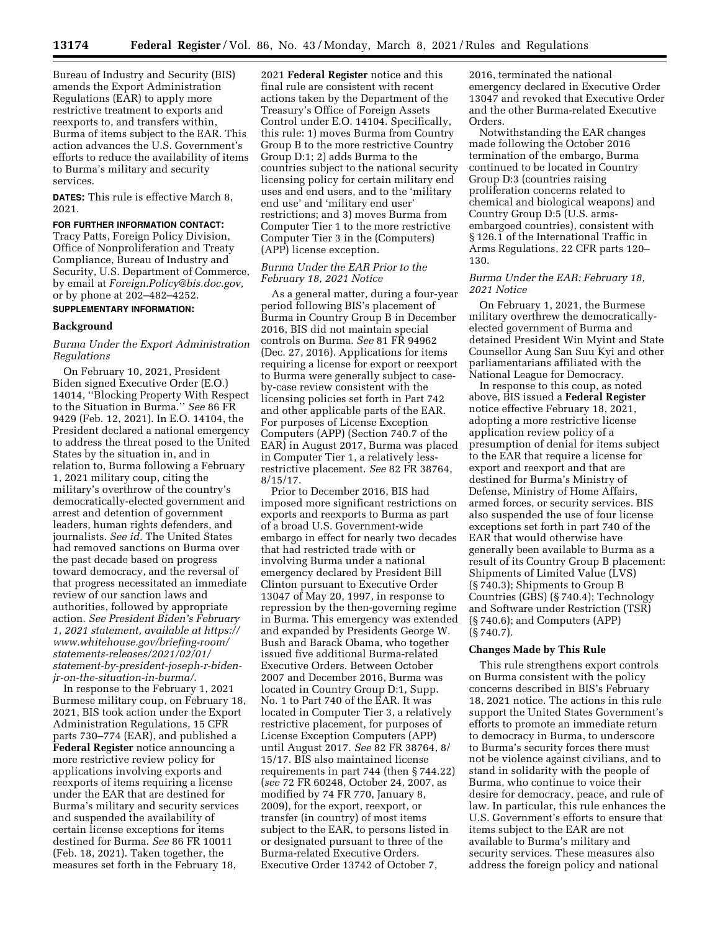Bureau of Industry and Security (BIS) amends the Export Administration Regulations (EAR) to apply more restrictive treatment to exports and reexports to, and transfers within, Burma of items subject to the EAR. This action advances the U.S. Government's efforts to reduce the availability of items to Burma's military and security services.

**DATES:** This rule is effective March 8, 2021.

# **FOR FURTHER INFORMATION CONTACT:**

Tracy Patts, Foreign Policy Division, Office of Nonproliferation and Treaty Compliance, Bureau of Industry and Security, U.S. Department of Commerce, by email at *[Foreign.Policy@bis.doc.gov,](mailto:Foreign.Policy@bis.doc.gov)*  or by phone at 202–482–4252.

# **SUPPLEMENTARY INFORMATION:**

#### **Background**

# *Burma Under the Export Administration Regulations*

On February 10, 2021, President Biden signed Executive Order (E.O.) 14014, ''Blocking Property With Respect to the Situation in Burma.'' *See* 86 FR 9429 (Feb. 12, 2021). In E.O. 14104, the President declared a national emergency to address the threat posed to the United States by the situation in, and in relation to, Burma following a February 1, 2021 military coup, citing the military's overthrow of the country's democratically-elected government and arrest and detention of government leaders, human rights defenders, and journalists. *See id.* The United States had removed sanctions on Burma over the past decade based on progress toward democracy, and the reversal of that progress necessitated an immediate review of our sanction laws and authorities, followed by appropriate action. *See President Biden's February 1, 2021 statement, available at [https://](https://www.whitehouse.gov/briefing-room/statements-releases/2021/02/01/statement-by-president-joseph-r-biden-jr-on-the-situation-in-burma/) [www.whitehouse.gov/briefing-room/](https://www.whitehouse.gov/briefing-room/statements-releases/2021/02/01/statement-by-president-joseph-r-biden-jr-on-the-situation-in-burma/) [statements-releases/2021/02/01/](https://www.whitehouse.gov/briefing-room/statements-releases/2021/02/01/statement-by-president-joseph-r-biden-jr-on-the-situation-in-burma/) [statement-by-president-joseph-r-biden](https://www.whitehouse.gov/briefing-room/statements-releases/2021/02/01/statement-by-president-joseph-r-biden-jr-on-the-situation-in-burma/)[jr-on-the-situation-in-burma/](https://www.whitehouse.gov/briefing-room/statements-releases/2021/02/01/statement-by-president-joseph-r-biden-jr-on-the-situation-in-burma/)*.

In response to the February 1, 2021 Burmese military coup, on February 18, 2021, BIS took action under the Export Administration Regulations, 15 CFR parts 730–774 (EAR), and published a **Federal Register** notice announcing a more restrictive review policy for applications involving exports and reexports of items requiring a license under the EAR that are destined for Burma's military and security services and suspended the availability of certain license exceptions for items destined for Burma. *See* 86 FR 10011 (Feb. 18, 2021). Taken together, the measures set forth in the February 18,

2021 **Federal Register** notice and this final rule are consistent with recent actions taken by the Department of the Treasury's Office of Foreign Assets Control under E.O. 14104. Specifically, this rule: 1) moves Burma from Country Group B to the more restrictive Country Group D:1; 2) adds Burma to the countries subject to the national security licensing policy for certain military end uses and end users, and to the 'military end use' and 'military end user' restrictions; and 3) moves Burma from Computer Tier 1 to the more restrictive Computer Tier 3 in the (Computers) (APP) license exception.

## *Burma Under the EAR Prior to the February 18, 2021 Notice*

As a general matter, during a four-year period following BIS's placement of Burma in Country Group B in December 2016, BIS did not maintain special controls on Burma. *See* 81 FR 94962 (Dec. 27, 2016). Applications for items requiring a license for export or reexport to Burma were generally subject to caseby-case review consistent with the licensing policies set forth in Part 742 and other applicable parts of the EAR. For purposes of License Exception Computers (APP) (Section 740.7 of the EAR) in August 2017, Burma was placed in Computer Tier 1, a relatively lessrestrictive placement. *See* 82 FR 38764, 8/15/17.

Prior to December 2016, BIS had imposed more significant restrictions on exports and reexports to Burma as part of a broad U.S. Government-wide embargo in effect for nearly two decades that had restricted trade with or involving Burma under a national emergency declared by President Bill Clinton pursuant to Executive Order 13047 of May 20, 1997, in response to repression by the then-governing regime in Burma. This emergency was extended and expanded by Presidents George W. Bush and Barack Obama, who together issued five additional Burma-related Executive Orders. Between October 2007 and December 2016, Burma was located in Country Group D:1, Supp. No. 1 to Part 740 of the EAR. It was located in Computer Tier 3, a relatively restrictive placement, for purposes of License Exception Computers (APP) until August 2017. *See* 82 FR 38764, 8/ 15/17. BIS also maintained license requirements in part 744 (then § 744.22) (*see* 72 FR 60248, October 24, 2007, as modified by 74 FR 770, January 8, 2009), for the export, reexport, or transfer (in country) of most items subject to the EAR, to persons listed in or designated pursuant to three of the Burma-related Executive Orders. Executive Order 13742 of October 7,

2016, terminated the national emergency declared in Executive Order 13047 and revoked that Executive Order and the other Burma-related Executive Orders.

Notwithstanding the EAR changes made following the October 2016 termination of the embargo, Burma continued to be located in Country Group D:3 (countries raising proliferation concerns related to chemical and biological weapons) and Country Group D:5 (U.S. armsembargoed countries), consistent with § 126.1 of the International Traffic in Arms Regulations, 22 CFR parts 120– 130.

## *Burma Under the EAR: February 18, 2021 Notice*

On February 1, 2021, the Burmese military overthrew the democraticallyelected government of Burma and detained President Win Myint and State Counsellor Aung San Suu Kyi and other parliamentarians affiliated with the National League for Democracy.

In response to this coup, as noted above, BIS issued a **Federal Register**  notice effective February 18, 2021, adopting a more restrictive license application review policy of a presumption of denial for items subject to the EAR that require a license for export and reexport and that are destined for Burma's Ministry of Defense, Ministry of Home Affairs, armed forces, or security services. BIS also suspended the use of four license exceptions set forth in part 740 of the EAR that would otherwise have generally been available to Burma as a result of its Country Group B placement: Shipments of Limited Value (LVS) (§ 740.3); Shipments to Group B Countries (GBS) (§ 740.4); Technology and Software under Restriction (TSR) (§ 740.6); and Computers (APP) (§ 740.7).

#### **Changes Made by This Rule**

This rule strengthens export controls on Burma consistent with the policy concerns described in BIS's February 18, 2021 notice. The actions in this rule support the United States Government's efforts to promote an immediate return to democracy in Burma, to underscore to Burma's security forces there must not be violence against civilians, and to stand in solidarity with the people of Burma, who continue to voice their desire for democracy, peace, and rule of law. In particular, this rule enhances the U.S. Government's efforts to ensure that items subject to the EAR are not available to Burma's military and security services. These measures also address the foreign policy and national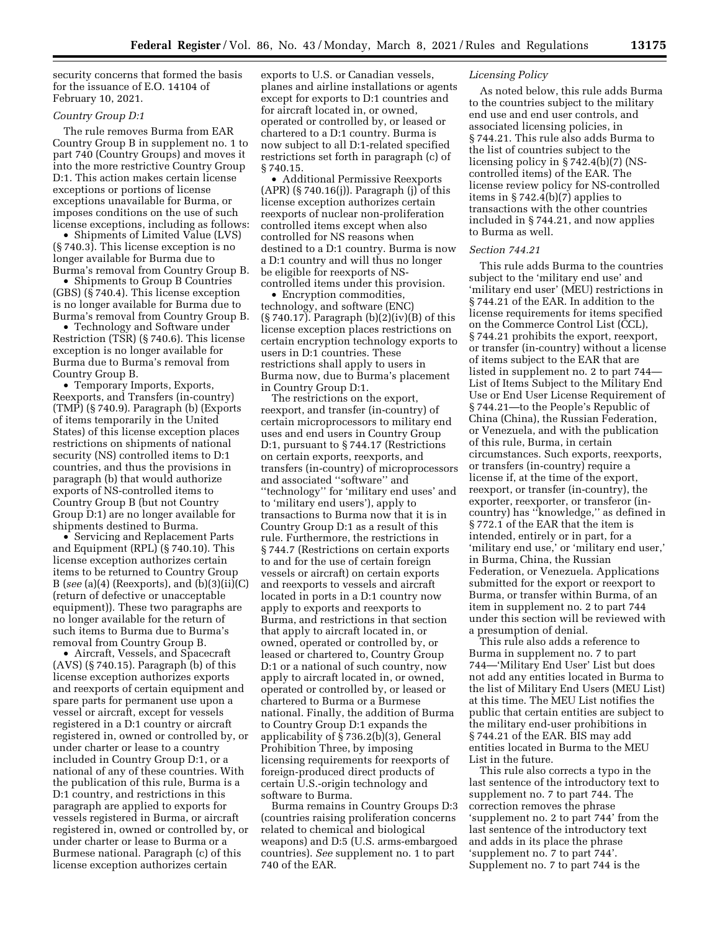security concerns that formed the basis for the issuance of E.O. 14104 of February 10, 2021.

### *Country Group D:1*

The rule removes Burma from EAR Country Group B in supplement no. 1 to part 740 (Country Groups) and moves it into the more restrictive Country Group D:1. This action makes certain license exceptions or portions of license exceptions unavailable for Burma, or imposes conditions on the use of such license exceptions, including as follows:

• Shipments of Limited Value (LVS) (§ 740.3). This license exception is no longer available for Burma due to Burma's removal from Country Group B.

• Shipments to Group B Countries (GBS) (§ 740.4). This license exception is no longer available for Burma due to Burma's removal from Country Group B.

• Technology and Software under Restriction (TSR) (§ 740.6). This license exception is no longer available for Burma due to Burma's removal from Country Group B.

• Temporary Imports, Exports, Reexports, and Transfers (in-country) (TMP) (§ 740.9). Paragraph (b) (Exports of items temporarily in the United States) of this license exception places restrictions on shipments of national security (NS) controlled items to D:1 countries, and thus the provisions in paragraph (b) that would authorize exports of NS-controlled items to Country Group B (but not Country Group D:1) are no longer available for shipments destined to Burma.

• Servicing and Replacement Parts and Equipment (RPL) (§ 740.10). This license exception authorizes certain items to be returned to Country Group B (*see* (a)(4) (Reexports), and (b)(3)(ii)(C) (return of defective or unacceptable equipment)). These two paragraphs are no longer available for the return of such items to Burma due to Burma's removal from Country Group B.

• Aircraft, Vessels, and Spacecraft (AVS) (§ 740.15). Paragraph (b) of this license exception authorizes exports and reexports of certain equipment and spare parts for permanent use upon a vessel or aircraft, except for vessels registered in a D:1 country or aircraft registered in, owned or controlled by, or under charter or lease to a country included in Country Group D:1, or a national of any of these countries. With the publication of this rule, Burma is a D:1 country, and restrictions in this paragraph are applied to exports for vessels registered in Burma, or aircraft registered in, owned or controlled by, or under charter or lease to Burma or a Burmese national. Paragraph (c) of this license exception authorizes certain

exports to U.S. or Canadian vessels, planes and airline installations or agents except for exports to D:1 countries and for aircraft located in, or owned, operated or controlled by, or leased or chartered to a D:1 country. Burma is now subject to all D:1-related specified restrictions set forth in paragraph (c) of § 740.15.

• Additional Permissive Reexports (APR) (§ 740.16(j)). Paragraph (j) of this license exception authorizes certain reexports of nuclear non-proliferation controlled items except when also controlled for NS reasons when destined to a D:1 country. Burma is now a D:1 country and will thus no longer be eligible for reexports of NScontrolled items under this provision.

• Encryption commodities, technology, and software (ENC) (§ 740.17). Paragraph (b)(2)(iv)(B) of this license exception places restrictions on certain encryption technology exports to users in D:1 countries. These restrictions shall apply to users in Burma now, due to Burma's placement in Country Group D:1.

The restrictions on the export, reexport, and transfer (in-country) of certain microprocessors to military end uses and end users in Country Group D:1, pursuant to § 744.17 (Restrictions on certain exports, reexports, and transfers (in-country) of microprocessors and associated ''software'' and ''technology'' for 'military end uses' and to 'military end users'), apply to transactions to Burma now that it is in Country Group D:1 as a result of this rule. Furthermore, the restrictions in § 744.7 (Restrictions on certain exports to and for the use of certain foreign vessels or aircraft) on certain exports and reexports to vessels and aircraft located in ports in a D:1 country now apply to exports and reexports to Burma, and restrictions in that section that apply to aircraft located in, or owned, operated or controlled by, or leased or chartered to, Country Group D:1 or a national of such country, now apply to aircraft located in, or owned, operated or controlled by, or leased or chartered to Burma or a Burmese national. Finally, the addition of Burma to Country Group D:1 expands the applicability of § 736.2(b)(3), General Prohibition Three, by imposing licensing requirements for reexports of foreign-produced direct products of certain U.S.-origin technology and software to Burma.

Burma remains in Country Groups D:3 (countries raising proliferation concerns related to chemical and biological weapons) and D:5 (U.S. arms-embargoed countries). *See* supplement no. 1 to part 740 of the EAR.

## *Licensing Policy*

As noted below, this rule adds Burma to the countries subject to the military end use and end user controls, and associated licensing policies, in § 744.21. This rule also adds Burma to the list of countries subject to the licensing policy in § 742.4(b)(7) (NScontrolled items) of the EAR. The license review policy for NS-controlled items in § 742.4(b)(7) applies to transactions with the other countries included in § 744.21, and now applies to Burma as well.

#### *Section 744.21*

This rule adds Burma to the countries subject to the 'military end use' and 'military end user' (MEU) restrictions in § 744.21 of the EAR. In addition to the license requirements for items specified on the Commerce Control List (CCL), § 744.21 prohibits the export, reexport, or transfer (in-country) without a license of items subject to the EAR that are listed in supplement no. 2 to part 744— List of Items Subject to the Military End Use or End User License Requirement of § 744.21—to the People's Republic of China (China), the Russian Federation, or Venezuela, and with the publication of this rule, Burma, in certain circumstances. Such exports, reexports, or transfers (in-country) require a license if, at the time of the export, reexport, or transfer (in-country), the exporter, reexporter, or transferor (incountry) has ''knowledge,'' as defined in § 772.1 of the EAR that the item is intended, entirely or in part, for a 'military end use,' or 'military end user,' in Burma, China, the Russian Federation, or Venezuela. Applications submitted for the export or reexport to Burma, or transfer within Burma, of an item in supplement no. 2 to part 744 under this section will be reviewed with a presumption of denial.

This rule also adds a reference to Burma in supplement no. 7 to part 744—'Military End User' List but does not add any entities located in Burma to the list of Military End Users (MEU List) at this time. The MEU List notifies the public that certain entities are subject to the military end-user prohibitions in § 744.21 of the EAR. BIS may add entities located in Burma to the MEU List in the future.

This rule also corrects a typo in the last sentence of the introductory text to supplement no. 7 to part 744. The correction removes the phrase 'supplement no. 2 to part 744' from the last sentence of the introductory text and adds in its place the phrase 'supplement no. 7 to part 744'. Supplement no. 7 to part 744 is the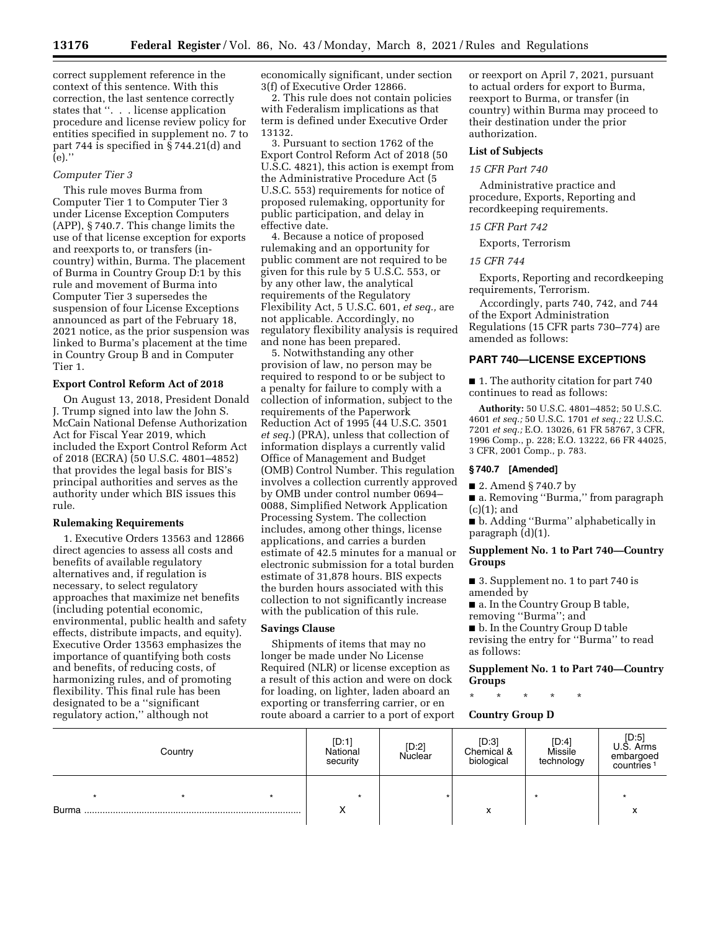correct supplement reference in the context of this sentence. With this correction, the last sentence correctly states that ''. . . license application procedure and license review policy for entities specified in supplement no. 7 to part 744 is specified in § 744.21(d) and  $(e)$ ."

#### *Computer Tier 3*

This rule moves Burma from Computer Tier 1 to Computer Tier 3 under License Exception Computers (APP), § 740.7. This change limits the use of that license exception for exports and reexports to, or transfers (incountry) within, Burma. The placement of Burma in Country Group D:1 by this rule and movement of Burma into Computer Tier 3 supersedes the suspension of four License Exceptions announced as part of the February 18, 2021 notice, as the prior suspension was linked to Burma's placement at the time in Country Group B and in Computer Tier 1.

## **Export Control Reform Act of 2018**

On August 13, 2018, President Donald J. Trump signed into law the John S. McCain National Defense Authorization Act for Fiscal Year 2019, which included the Export Control Reform Act of 2018 (ECRA) (50 U.S.C. 4801–4852) that provides the legal basis for BIS's principal authorities and serves as the authority under which BIS issues this rule.

#### **Rulemaking Requirements**

1. Executive Orders 13563 and 12866 direct agencies to assess all costs and benefits of available regulatory alternatives and, if regulation is necessary, to select regulatory approaches that maximize net benefits (including potential economic, environmental, public health and safety effects, distribute impacts, and equity). Executive Order 13563 emphasizes the importance of quantifying both costs and benefits, of reducing costs, of harmonizing rules, and of promoting flexibility. This final rule has been designated to be a ''significant regulatory action,'' although not

economically significant, under section 3(f) of Executive Order 12866.

2. This rule does not contain policies with Federalism implications as that term is defined under Executive Order 13132.

3. Pursuant to section 1762 of the Export Control Reform Act of 2018 (50 U.S.C. 4821), this action is exempt from the Administrative Procedure Act (5 U.S.C. 553) requirements for notice of proposed rulemaking, opportunity for public participation, and delay in effective date.

4. Because a notice of proposed rulemaking and an opportunity for public comment are not required to be given for this rule by 5 U.S.C. 553, or by any other law, the analytical requirements of the Regulatory Flexibility Act, 5 U.S.C. 601, *et seq.,* are not applicable. Accordingly, no regulatory flexibility analysis is required and none has been prepared.

5. Notwithstanding any other provision of law, no person may be required to respond to or be subject to a penalty for failure to comply with a collection of information, subject to the requirements of the Paperwork Reduction Act of 1995 (44 U.S.C. 3501 *et seq.*) (PRA), unless that collection of information displays a currently valid Office of Management and Budget (OMB) Control Number. This regulation involves a collection currently approved by OMB under control number 0694– 0088, Simplified Network Application Processing System. The collection includes, among other things, license applications, and carries a burden estimate of 42.5 minutes for a manual or electronic submission for a total burden estimate of 31,878 hours. BIS expects the burden hours associated with this collection to not significantly increase with the publication of this rule.

#### **Savings Clause**

Shipments of items that may no longer be made under No License Required (NLR) or license exception as a result of this action and were on dock for loading, on lighter, laden aboard an exporting or transferring carrier, or en route aboard a carrier to a port of export or reexport on April 7, 2021, pursuant to actual orders for export to Burma, reexport to Burma, or transfer (in country) within Burma may proceed to their destination under the prior authorization.

## **List of Subjects**

#### *15 CFR Part 740*

Administrative practice and procedure, Exports, Reporting and recordkeeping requirements.

#### *15 CFR Part 742*

Exports, Terrorism

## *15 CFR 744*

Exports, Reporting and recordkeeping requirements, Terrorism.

Accordingly, parts 740, 742, and 744 of the Export Administration Regulations (15 CFR parts 730–774) are amended as follows:

#### **PART 740—LICENSE EXCEPTIONS**

■ 1. The authority citation for part 740 continues to read as follows:

**Authority:** 50 U.S.C. 4801–4852; 50 U.S.C. 4601 *et seq.;* 50 U.S.C. 1701 *et seq.;* 22 U.S.C. 7201 *et seq.;* E.O. 13026, 61 FR 58767, 3 CFR, 1996 Comp., p. 228; E.O. 13222, 66 FR 44025, 3 CFR, 2001 Comp., p. 783.

## **§ 740.7 [Amended]**

■ 2. Amend § 740.7 by

■ a. Removing "Burma," from paragraph  $(c)(1);$  and

■ b. Adding "Burma" alphabetically in paragraph (d)(1).

# **Supplement No. 1 to Part 740—Country Groups**

■ 3. Supplement no. 1 to part 740 is amended by

■ a. In the Country Group B table, removing ''Burma''; and

■ b. In the Country Group D table

revising the entry for ''Burma'' to read as follows:

## **Supplement No. 1 to Part 740—Country Groups**

\* \* \* \* \*

# **Country Group D**

|              | Country |         | [D:1]<br>National<br>security | [D:2]<br>Nuclear | [D:3]<br>Chemical &<br>biological | [D:4]<br>Missile<br>technology | [D:5]<br>U.S. Arms<br>embargoed<br>countries <sup>1</sup> |
|--------------|---------|---------|-------------------------------|------------------|-----------------------------------|--------------------------------|-----------------------------------------------------------|
| <b>Burma</b> |         | $\star$ | $\star$                       |                  | $\checkmark$<br>ᄉ                 |                                |                                                           |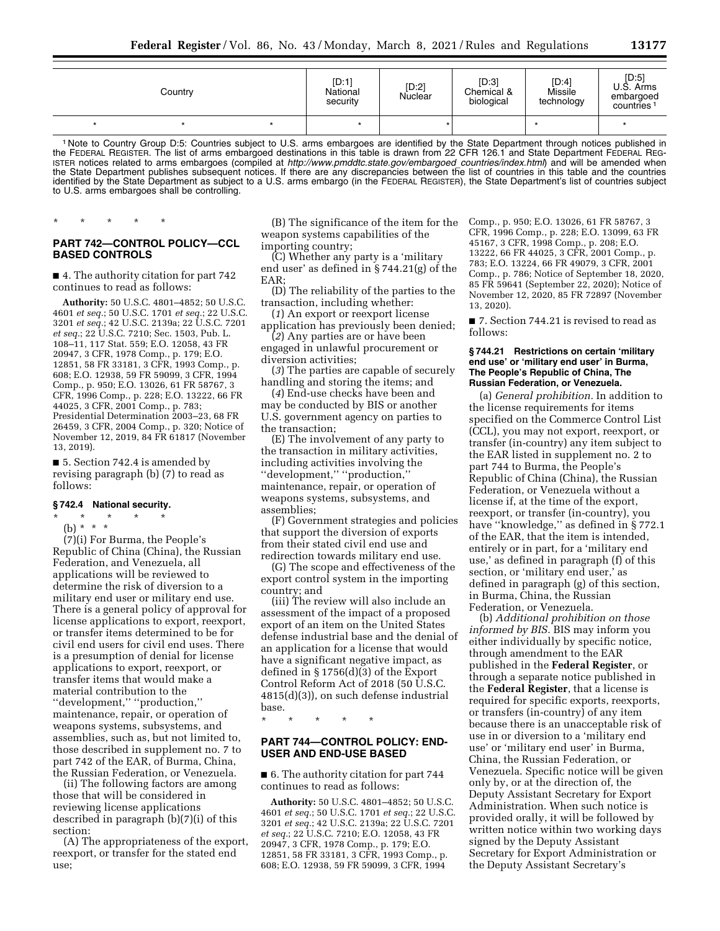| Country |  | [D:1]<br>National<br>security | [D:2]<br>Nuclear | [D:3]<br>Chemical &<br>biological | [D:4]<br>Missile<br>technology | [D:5]<br>U.S. Arms<br>embargoed<br>countries <sup>1</sup> |  |
|---------|--|-------------------------------|------------------|-----------------------------------|--------------------------------|-----------------------------------------------------------|--|
|         |  |                               |                  |                                   |                                |                                                           |  |

1 Note to Country Group D:5: Countries subject to U.S. arms embargoes are identified by the State Department through notices published in the FEDERAL REGISTER. The list of arms embargoed destinations in this table is drawn from 22 CFR 126.1 and State Department FEDERAL REG-ISTER notices related to arms embargoes (compiled at *[http://www.pmddtc.state.gov/embargoed](http://www.pmddtc.state.gov/embargoed_countries/index.html)*\_*countries/index.html*) and will be amended when the State Department publishes subsequent notices. If there are any discrepancies between the list of countries in this table and the countries identified by the State Department as subject to a U.S. arms embargo (in the FEDERAL REGISTER), the State Department's list of countries subject to U.S. arms embargoes shall be controlling.

# **PART 742—CONTROL POLICY—CCL BASED CONTROLS**

\* \* \* \* \*

■ 4. The authority citation for part 742 continues to read as follows:

**Authority:** 50 U.S.C. 4801–4852; 50 U.S.C. 4601 *et seq.*; 50 U.S.C. 1701 *et seq.*; 22 U.S.C. 3201 *et seq.*; 42 U.S.C. 2139a; 22 U.S.C. 7201 *et seq.*; 22 U.S.C. 7210; Sec. 1503, Pub. L. 108–11, 117 Stat. 559; E.O. 12058, 43 FR 20947, 3 CFR, 1978 Comp., p. 179; E.O. 12851, 58 FR 33181, 3 CFR, 1993 Comp., p. 608; E.O. 12938, 59 FR 59099, 3 CFR, 1994 Comp., p. 950; E.O. 13026, 61 FR 58767, 3 CFR, 1996 Comp., p. 228; E.O. 13222, 66 FR 44025, 3 CFR, 2001 Comp., p. 783; Presidential Determination 2003–23, 68 FR 26459, 3 CFR, 2004 Comp., p. 320; Notice of November 12, 2019, 84 FR 61817 (November 13, 2019).

■ 5. Section 742.4 is amended by revising paragraph (b) (7) to read as follows:

#### **§ 742.4 National security.**

\* \* \* \* \* (b) \* \* \*

(7)(i) For Burma, the People's Republic of China (China), the Russian Federation, and Venezuela, all applications will be reviewed to determine the risk of diversion to a military end user or military end use. There is a general policy of approval for license applications to export, reexport, or transfer items determined to be for civil end users for civil end uses. There is a presumption of denial for license applications to export, reexport, or transfer items that would make a material contribution to the ''development,'' ''production,'' maintenance, repair, or operation of weapons systems, subsystems, and assemblies, such as, but not limited to, those described in supplement no. 7 to part 742 of the EAR, of Burma, China, the Russian Federation, or Venezuela.

(ii) The following factors are among those that will be considered in reviewing license applications described in paragraph (b)(7)(i) of this section:

(A) The appropriateness of the export, reexport, or transfer for the stated end use;

(B) The significance of the item for the weapon systems capabilities of the importing country;

(C) Whether any party is a 'military end user' as defined in § 744.21(g) of the EAR;

(D) The reliability of the parties to the transaction, including whether:

(*1*) An export or reexport license application has previously been denied;

(*2*) Any parties are or have been engaged in unlawful procurement or

diversion activities;

(*3*) The parties are capable of securely handling and storing the items; and

(*4*) End-use checks have been and may be conducted by BIS or another U.S. government agency on parties to the transaction;

(E) The involvement of any party to the transaction in military activities, including activities involving the ''development,'' ''production,'' maintenance, repair, or operation of weapons systems, subsystems, and assemblies;

(F) Government strategies and policies that support the diversion of exports from their stated civil end use and redirection towards military end use.

(G) The scope and effectiveness of the export control system in the importing country; and

(iii) The review will also include an assessment of the impact of a proposed export of an item on the United States defense industrial base and the denial of an application for a license that would have a significant negative impact, as defined in § 1756(d)(3) of the Export Control Reform Act of 2018 (50 U.S.C. 4815(d)(3)), on such defense industrial base.

\* \* \* \* \*

# **PART 744—CONTROL POLICY: END-USER AND END-USE BASED**

## ■ 6. The authority citation for part 744 continues to read as follows:

**Authority:** 50 U.S.C. 4801–4852; 50 U.S.C. 4601 *et seq.*; 50 U.S.C. 1701 *et seq.*; 22 U.S.C. 3201 *et seq.*; 42 U.S.C. 2139a; 22 U.S.C. 7201 *et seq.*; 22 U.S.C. 7210; E.O. 12058, 43 FR 20947, 3 CFR, 1978 Comp., p. 179; E.O. 12851, 58 FR 33181, 3 CFR, 1993 Comp., p. 608; E.O. 12938, 59 FR 59099, 3 CFR, 1994

Comp., p. 950; E.O. 13026, 61 FR 58767, 3 CFR, 1996 Comp., p. 228; E.O. 13099, 63 FR 45167, 3 CFR, 1998 Comp., p. 208; E.O. 13222, 66 FR 44025, 3 CFR, 2001 Comp., p. 783; E.O. 13224, 66 FR 49079, 3 CFR, 2001 Comp., p. 786; Notice of September 18, 2020, 85 FR 59641 (September 22, 2020); Notice of November 12, 2020, 85 FR 72897 (November 13, 2020).

■ 7. Section 744.21 is revised to read as follows:

#### **§ 744.21 Restrictions on certain 'military end use' or 'military end user' in Burma, The People's Republic of China, The Russian Federation, or Venezuela.**

(a) *General prohibition.* In addition to the license requirements for items specified on the Commerce Control List (CCL), you may not export, reexport, or transfer (in-country) any item subject to the EAR listed in supplement no. 2 to part 744 to Burma, the People's Republic of China (China), the Russian Federation, or Venezuela without a license if, at the time of the export, reexport, or transfer (in-country), you have "knowledge," as defined in § 772.1 of the EAR, that the item is intended, entirely or in part, for a 'military end use,' as defined in paragraph (f) of this section, or 'military end user,' as defined in paragraph (g) of this section, in Burma, China, the Russian Federation, or Venezuela.

(b) *Additional prohibition on those informed by BIS.* BIS may inform you either individually by specific notice, through amendment to the EAR published in the **Federal Register**, or through a separate notice published in the **Federal Register**, that a license is required for specific exports, reexports, or transfers (in-country) of any item because there is an unacceptable risk of use in or diversion to a 'military end use' or 'military end user' in Burma, China, the Russian Federation, or Venezuela. Specific notice will be given only by, or at the direction of, the Deputy Assistant Secretary for Export Administration. When such notice is provided orally, it will be followed by written notice within two working days signed by the Deputy Assistant Secretary for Export Administration or the Deputy Assistant Secretary's